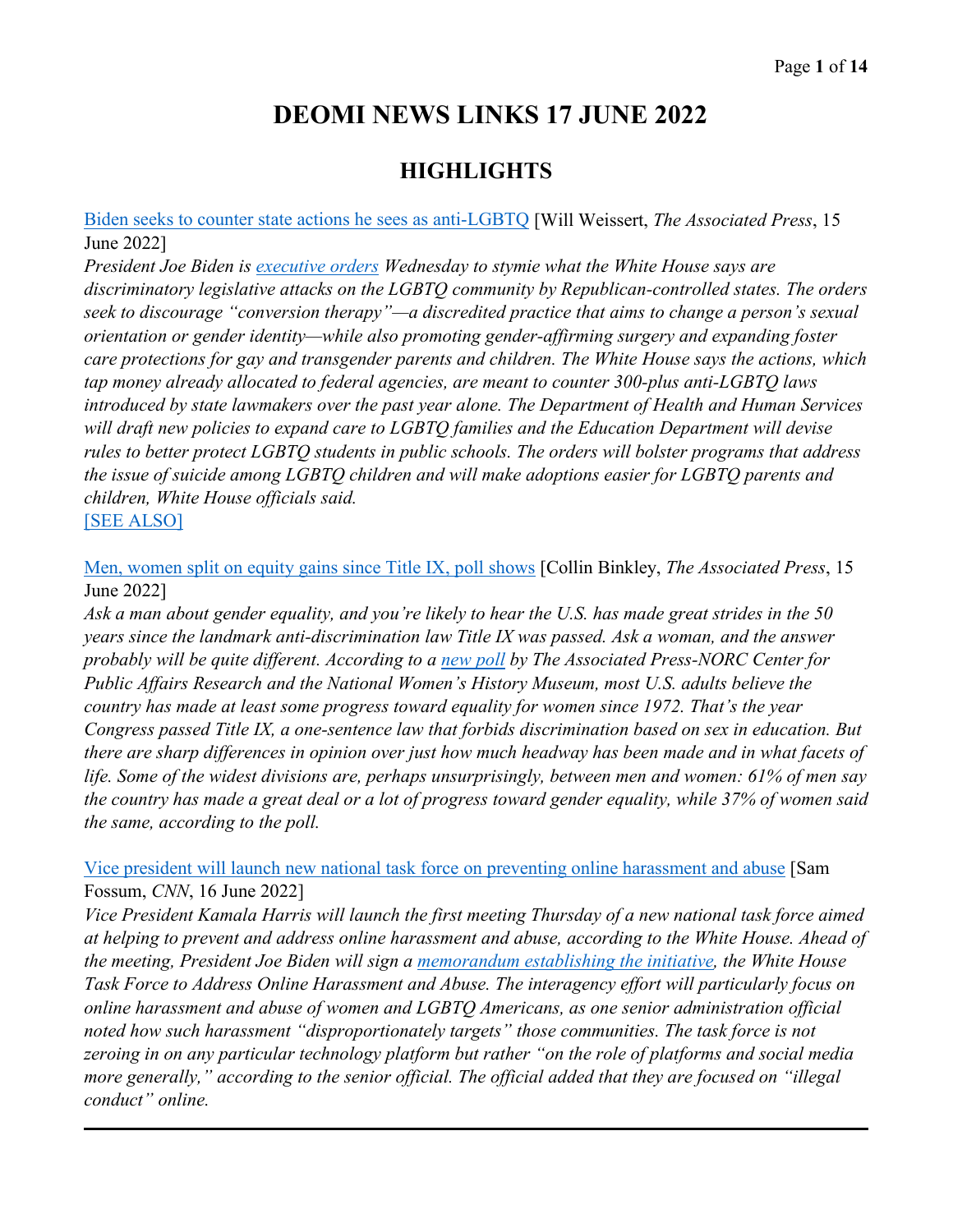# **DEOMI NEWS LINKS 17 JUNE 2022**

# **HIGHLIGHTS**

[Biden seeks to counter state actions he sees as anti-LGBTQ](https://apnews.com/article/biden-congress-government-and-politics-gender-identity-82982ffff0c91415e29f1bb08a5c2f8c) [Will Weissert, *The Associated Press*, 15 June 2022]

*President Joe Biden is [executive orders](https://www.whitehouse.gov/briefing-room/presidential-actions/2022/06/15/executive-order-on-advancing-equality-for-lesbian-gay-bisexual-transgender-queer-and-intersex-individuals/) Wednesday to stymie what the White House says are discriminatory legislative attacks on the LGBTQ community by Republican-controlled states. The orders seek to discourage "conversion therapy"—a discredited practice that aims to change a person's sexual orientation or gender identity—while also promoting gender-affirming surgery and expanding foster care protections for gay and transgender parents and children. The White House says the actions, which tap money already allocated to federal agencies, are meant to counter 300-plus anti-LGBTQ laws introduced by state lawmakers over the past year alone. The Department of Health and Human Services will draft new policies to expand care to LGBTQ families and the Education Department will devise rules to better protect LGBTQ students in public schools. The orders will bolster programs that address the issue of suicide among LGBTQ children and will make adoptions easier for LGBTQ parents and children, White House officials said.*  [\[SEE ALSO\]](https://www.route-fifty.com/management/2022/06/states-passed-laws-year-curb-lgbtq-rights/368244/)

[Men, women split on equity gains since Title IX, poll shows](https://apnews.com/article/sports-education-government-and-politics-08770316f487aad413d7fe8552bc1aa2) [Collin Binkley, *The Associated Press*, 15 June 2022]

*Ask a man about gender equality, and you're likely to hear the U.S. has made great strides in the 50 years since the landmark anti-discrimination law Title IX was passed. Ask a woman, and the answer probably will be quite different. According to a [new poll](https://apnorc.org/wp-content/uploads/2022/06/Title-IX-report-FINAL.pdf) by The Associated Press-NORC Center for Public Affairs Research and the National Women's History Museum, most U.S. adults believe the country has made at least some progress toward equality for women since 1972. That's the year Congress passed Title IX, a one-sentence law that forbids discrimination based on sex in education. But there are sharp differences in opinion over just how much headway has been made and in what facets of life. Some of the widest divisions are, perhaps unsurprisingly, between men and women: 61% of men say the country has made a great deal or a lot of progress toward gender equality, while 37% of women said the same, according to the poll.* 

[Vice president will launch new national task force on preventing online harassment and abuse](https://www.cnn.com/2022/06/16/politics/task-force-online-harassment-abuse-kamala-harris/index.html) [Sam Fossum, *CNN*, 16 June 2022]

*Vice President Kamala Harris will launch the first meeting Thursday of a new national task force aimed at helping to prevent and address online harassment and abuse, according to the White House. Ahead of the meeting, President Joe Biden will sign a [memorandum establishing the initiative,](https://www.whitehouse.gov/briefing-room/presidential-actions/2022/06/16/memorandum-on-the-establishment-of-the-white-house-task-force-to-address-online-harassment-and-abuse/) the White House Task Force to Address Online Harassment and Abuse. The interagency effort will particularly focus on online harassment and abuse of women and LGBTQ Americans, as one senior administration official noted how such harassment "disproportionately targets" those communities. The task force is not zeroing in on any particular technology platform but rather "on the role of platforms and social media more generally," according to the senior official. The official added that they are focused on "illegal conduct" online.*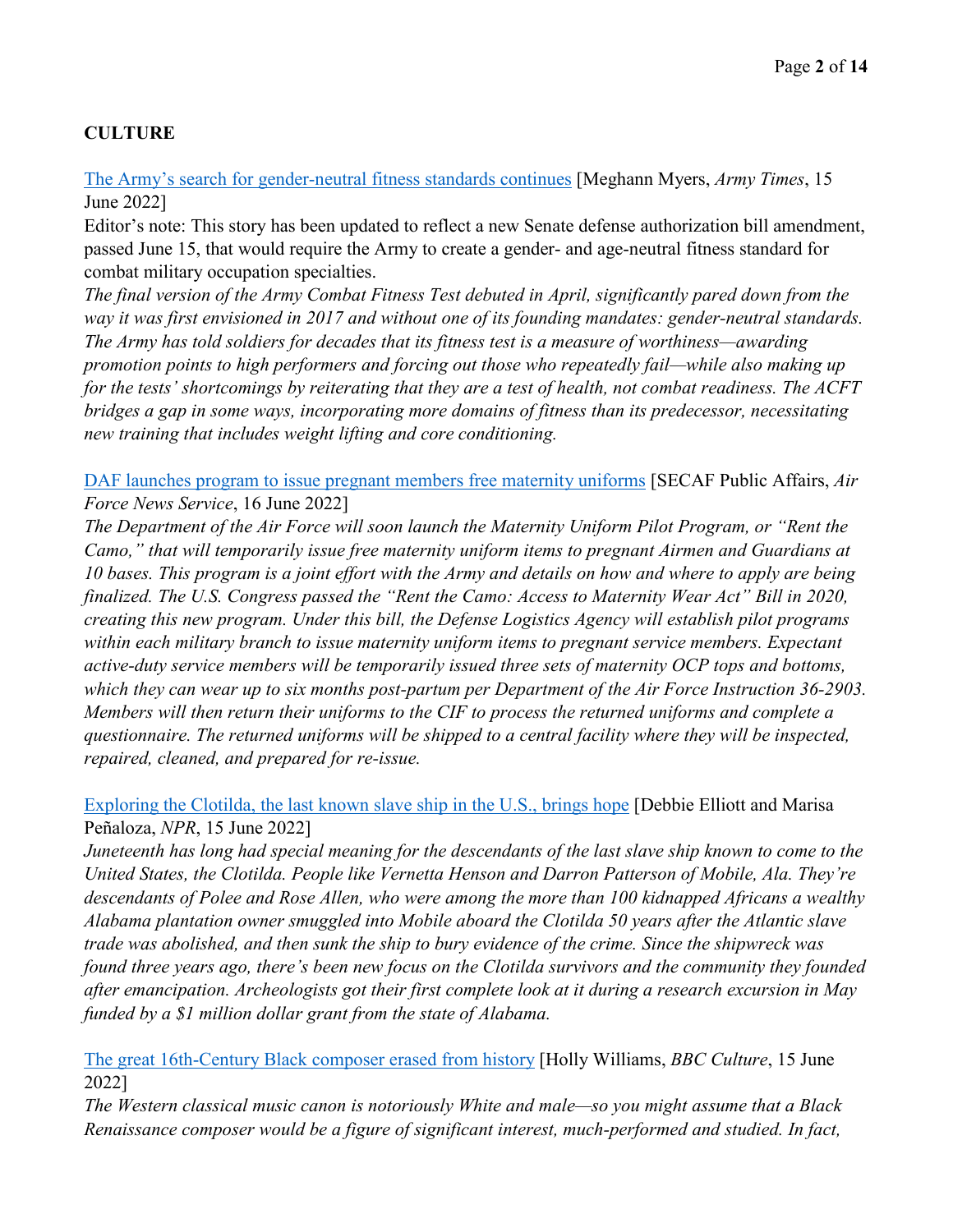# **CULTURE**

[The Army's search for gender-neutral fitness standards continues](https://www.armytimes.com/news/your-army/2022/06/15/the-armys-search-for-gender-neutral-fitness-standards-continues/) [Meghann Myers, *Army Times*, 15 June 2022]

Editor's note: This story has been updated to reflect a new Senate defense authorization bill amendment, passed June 15, that would require the Army to create a gender- and age-neutral fitness standard for combat military occupation specialties.

*The final version of the Army Combat Fitness Test debuted in April, significantly pared down from the way it was first envisioned in 2017 and without one of its founding mandates: gender-neutral standards. The Army has told soldiers for decades that its fitness test is a measure of worthiness—awarding promotion points to high performers and forcing out those who repeatedly fail—while also making up for the tests' shortcomings by reiterating that they are a test of health, not combat readiness. The ACFT bridges a gap in some ways, incorporating more domains of fitness than its predecessor, necessitating new training that includes weight lifting and core conditioning.* 

[DAF launches program to issue pregnant members free maternity uniforms](https://www.af.mil/News/Article-Display/Article/3065220/daf-launches-program-to-issue-pregnant-members-free-maternity-uniforms/) [SECAF Public Affairs, *Air Force News Service*, 16 June 2022]

*The Department of the Air Force will soon launch the Maternity Uniform Pilot Program, or "Rent the Camo," that will temporarily issue free maternity uniform items to pregnant Airmen and Guardians at 10 bases. This program is a joint effort with the Army and details on how and where to apply are being finalized. The U.S. Congress passed the "Rent the Camo: Access to Maternity Wear Act" Bill in 2020, creating this new program. Under this bill, the Defense Logistics Agency will establish pilot programs within each military branch to issue maternity uniform items to pregnant service members. Expectant active-duty service members will be temporarily issued three sets of maternity OCP tops and bottoms, which they can wear up to six months post-partum per Department of the Air Force Instruction 36-2903. Members will then return their uniforms to the CIF to process the returned uniforms and complete a questionnaire. The returned uniforms will be shipped to a central facility where they will be inspected, repaired, cleaned, and prepared for re-issue.*

### [Exploring the Clotilda, the last known slave ship in the U.S., brings hope](https://www.npr.org/2022/06/15/1105007375/exploring-the-clotilda-the-last-known-slave-ship-in-the-u-s-brings-hope) [Debbie Elliott and Marisa Peñaloza, *NPR*, 15 June 2022]

*Juneteenth has long had special meaning for the descendants of the last slave ship known to come to the United States, the Clotilda. People like Vernetta Henson and Darron Patterson of Mobile, Ala. They're descendants of Polee and Rose Allen, who were among the more than 100 kidnapped Africans a wealthy Alabama plantation owner smuggled into Mobile aboard the Clotilda 50 years after the Atlantic slave trade was abolished, and then sunk the ship to bury evidence of the crime. Since the shipwreck was found three years ago, there's been new focus on the Clotilda survivors and the community they founded after emancipation. Archeologists got their first complete look at it during a research excursion in May funded by a \$1 million dollar grant from the state of Alabama.* 

[The great 16th-Century Black composer erased from history](https://www.bbc.com/culture/article/20220615-the-lost-16th-century-black-composer-vicente-lusitano) [Holly Williams, *BBC Culture*, 15 June 2022]

*The Western classical music canon is notoriously White and male—so you might assume that a Black Renaissance composer would be a figure of significant interest, much-performed and studied. In fact,*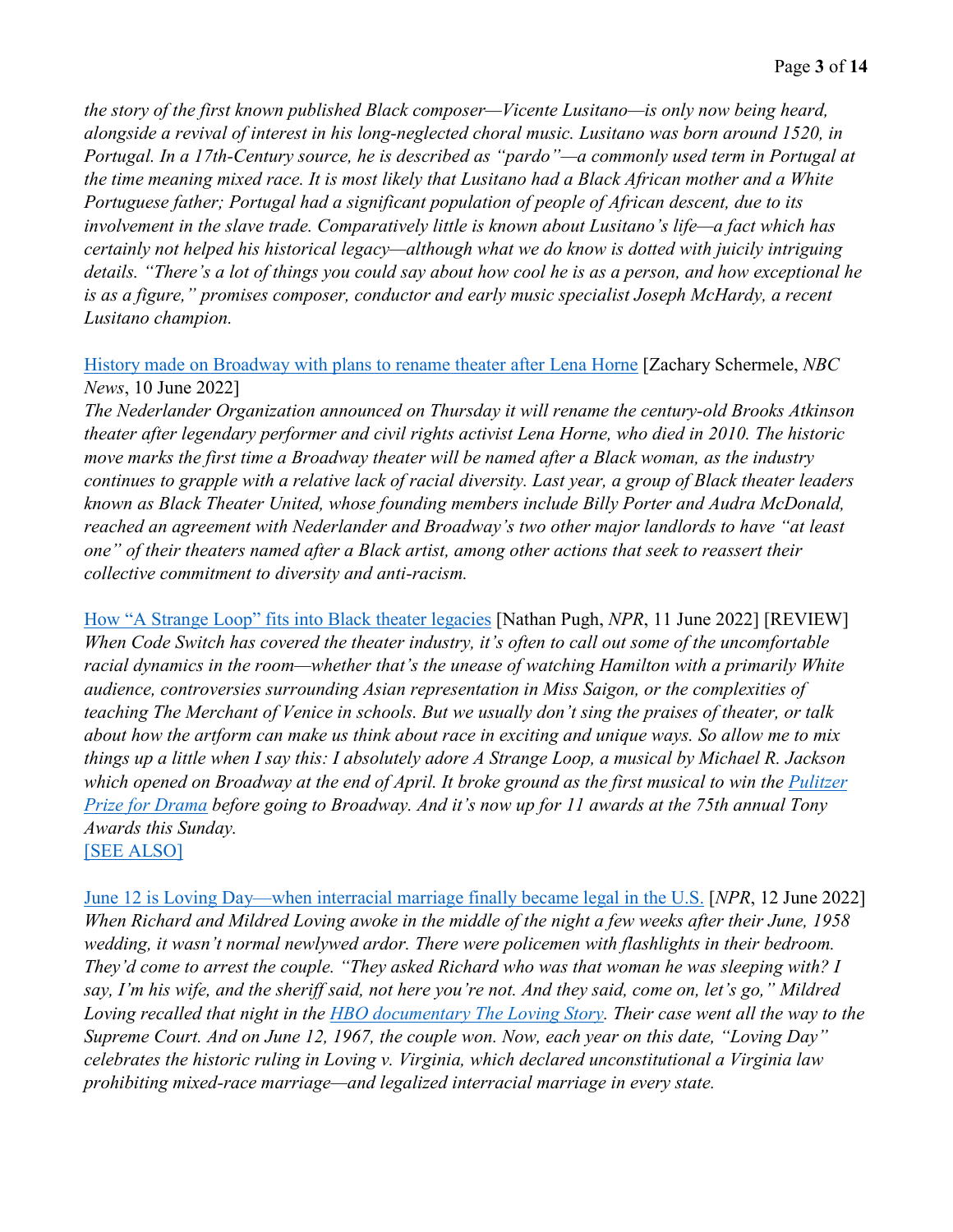*the story of the first known published Black composer—Vicente Lusitano—is only now being heard, alongside a revival of interest in his long-neglected choral music. Lusitano was born around 1520, in Portugal. In a 17th-Century source, he is described as "pardo"—a commonly used term in Portugal at the time meaning mixed race. It is most likely that Lusitano had a Black African mother and a White Portuguese father; Portugal had a significant population of people of African descent, due to its involvement in the slave trade. Comparatively little is known about Lusitano's life—a fact which has certainly not helped his historical legacy—although what we do know is dotted with juicily intriguing details. "There's a lot of things you could say about how cool he is as a person, and how exceptional he is as a figure," promises composer, conductor and early music specialist Joseph McHardy, a recent Lusitano champion.* 

#### [History made on Broadway with plans to rename theater after Lena Horne](https://www.nbcnews.com/news/nbcblk/history-made-broadway-plans-rename-theater-lena-horne-rcna33022) [Zachary Schermele, *NBC News*, 10 June 2022]

*The Nederlander Organization announced on Thursday it will rename the century-old Brooks Atkinson theater after legendary performer and civil rights activist Lena Horne, who died in 2010. The historic move marks the first time a Broadway theater will be named after a Black woman, as the industry continues to grapple with a relative lack of racial diversity. Last year, a group of Black theater leaders known as Black Theater United, whose founding members include Billy Porter and Audra McDonald, reached an agreement with Nederlander and Broadway's two other major landlords to have "at least one" of their theaters named after a Black artist, among other actions that seek to reassert their collective commitment to diversity and anti-racism.*

[How "A Strange Loop" fits into Black theater legacies](https://www.npr.org/sections/codeswitch/2022/06/11/256849445/how-a-strange-loop-fits-into-black-theater-legacies) [Nathan Pugh, *NPR*, 11 June 2022] [REVIEW] *When Code Switch has covered the theater industry, it's often to call out some of the uncomfortable racial dynamics in the room—whether that's the unease of watching Hamilton with a primarily White audience, controversies surrounding Asian representation in Miss Saigon, or the complexities of teaching The Merchant of Venice in schools. But we usually don't sing the praises of theater, or talk about how the artform can make us think about race in exciting and unique ways. So allow me to mix things up a little when I say this: I absolutely adore A Strange Loop, a musical by Michael R. Jackson which opened on Broadway at the end of April. It broke ground as the first musical to win the [Pulitzer](https://www.pulitzer.org/winners/michael-r-jackson)  [Prize for Drama](https://www.pulitzer.org/winners/michael-r-jackson) before going to Broadway. And it's now up for 11 awards at the 75th annual Tony Awards this Sunday.*  [\[SEE ALSO\]](https://www.reuters.com/lifestyle/top-tony-awards-a-strange-loop-lehman-trilogy-broadway-season-after-pandemic-2022-06-13/)

[June 12 is Loving Day—when interracial marriage finally became legal in the U.S.](https://www.npr.org/2021/06/12/1005848169/loving-day-interracial-marriage-legal-origin) [*NPR*, 12 June 2022] *When Richard and Mildred Loving awoke in the middle of the night a few weeks after their June, 1958 wedding, it wasn't normal newlywed ardor. There were policemen with flashlights in their bedroom. They'd come to arrest the couple. "They asked Richard who was that woman he was sleeping with? I say, I'm his wife, and the sheriff said, not here you're not. And they said, come on, let's go," Mildred Loving recalled that night in the [HBO documentary The Loving Story.](https://www.hbo.com/movies/the-loving-story) Their case went all the way to the Supreme Court. And on June 12, 1967, the couple won. Now, each year on this date, "Loving Day" celebrates the historic ruling in Loving v. Virginia, which declared unconstitutional a Virginia law prohibiting mixed-race marriage—and legalized interracial marriage in every state.*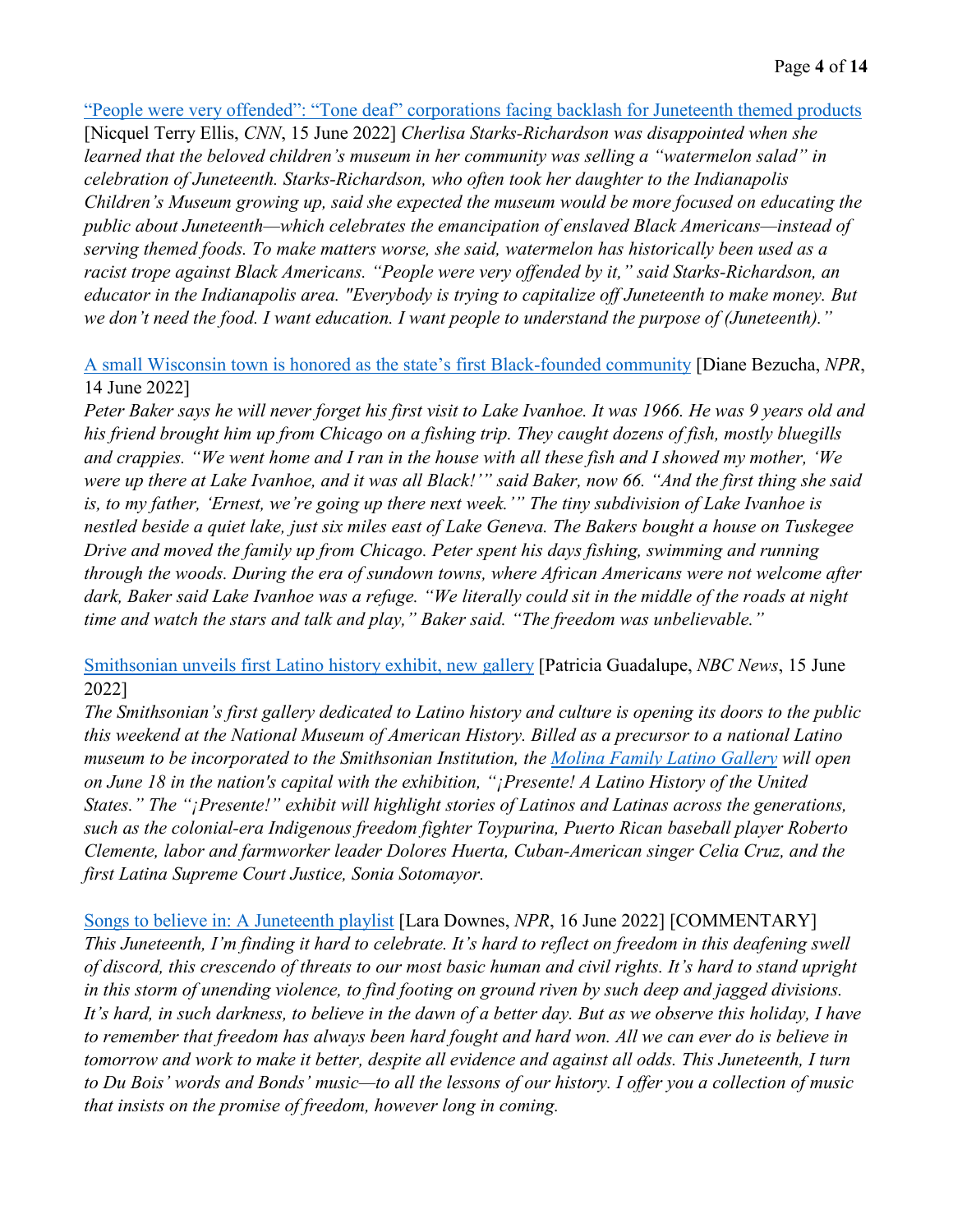#### ["People were very offended": "Tone deaf" corporations facing backlash for Juneteenth themed products](https://www.cnn.com/2022/06/15/us/juneteenth-companies-tone-deaf/index.html)

[Nicquel Terry Ellis, *CNN*, 15 June 2022] *Cherlisa Starks-Richardson was disappointed when she learned that the beloved children's museum in her community was selling a "watermelon salad" in celebration of Juneteenth. Starks-Richardson, who often took her daughter to the Indianapolis Children's Museum growing up, said she expected the museum would be more focused on educating the public about Juneteenth—which celebrates the emancipation of enslaved Black Americans—instead of serving themed foods. To make matters worse, she said, watermelon has historically been used as a racist trope against Black Americans. "People were very offended by it," said Starks-Richardson, an educator in the Indianapolis area. "Everybody is trying to capitalize off Juneteenth to make money. But we don't need the food. I want education. I want people to understand the purpose of (Juneteenth)."* 

[A small Wisconsin town is honored as the state's first Black-founded community](https://www.npr.org/2022/06/14/1104552007/a-small-wisconsin-town-is-honored-as-the-states-first-black-founded) [Diane Bezucha, *NPR*, 14 June 2022]

*Peter Baker says he will never forget his first visit to Lake Ivanhoe. It was 1966. He was 9 years old and his friend brought him up from Chicago on a fishing trip. They caught dozens of fish, mostly bluegills and crappies. "We went home and I ran in the house with all these fish and I showed my mother, 'We were up there at Lake Ivanhoe, and it was all Black!'" said Baker, now 66. "And the first thing she said is, to my father, 'Ernest, we're going up there next week.'" The tiny subdivision of Lake Ivanhoe is nestled beside a quiet lake, just six miles east of Lake Geneva. The Bakers bought a house on Tuskegee Drive and moved the family up from Chicago. Peter spent his days fishing, swimming and running through the woods. During the era of sundown towns, where African Americans were not welcome after dark, Baker said Lake Ivanhoe was a refuge. "We literally could sit in the middle of the roads at night time and watch the stars and talk and play," Baker said. "The freedom was unbelievable."* 

#### [Smithsonian unveils first Latino history exhibit, new gallery](https://www.nbcnews.com/news/latino/smithsonian-unveils-first-latino-history-exhibit-new-gallery-rcna33752) [Patricia Guadalupe, *NBC News*, 15 June 2022]

*The Smithsonian's first gallery dedicated to Latino history and culture is opening its doors to the public this weekend at the National Museum of American History. Billed as a precursor to a national Latino museum to be incorporated to the Smithsonian Institution, the [Molina Family Latino Gallery](https://latino.si.edu/gallery) will open on June 18 in the nation's capital with the exhibition, "¡Presente! A Latino History of the United States." The "¡Presente!" exhibit will highlight stories of Latinos and Latinas across the generations, such as the colonial-era Indigenous freedom fighter Toypurina, Puerto Rican baseball player Roberto Clemente, labor and farmworker leader Dolores Huerta, Cuban-American singer Celia Cruz, and the first Latina Supreme Court Justice, Sonia Sotomayor.* 

[Songs to believe in: A Juneteenth playlist](https://www.npr.org/sections/pictureshow/2022/06/16/1105224652/songs-to-believe-in-a-juneteenth-playlist) [Lara Downes, *NPR*, 16 June 2022] [COMMENTARY] *This Juneteenth, I'm finding it hard to celebrate. It's hard to reflect on freedom in this deafening swell of discord, this crescendo of threats to our most basic human and civil rights. It's hard to stand upright in this storm of unending violence, to find footing on ground riven by such deep and jagged divisions. It's hard, in such darkness, to believe in the dawn of a better day. But as we observe this holiday, I have to remember that freedom has always been hard fought and hard won. All we can ever do is believe in tomorrow and work to make it better, despite all evidence and against all odds. This Juneteenth, I turn to Du Bois' words and Bonds' music—to all the lessons of our history. I offer you a collection of music that insists on the promise of freedom, however long in coming.*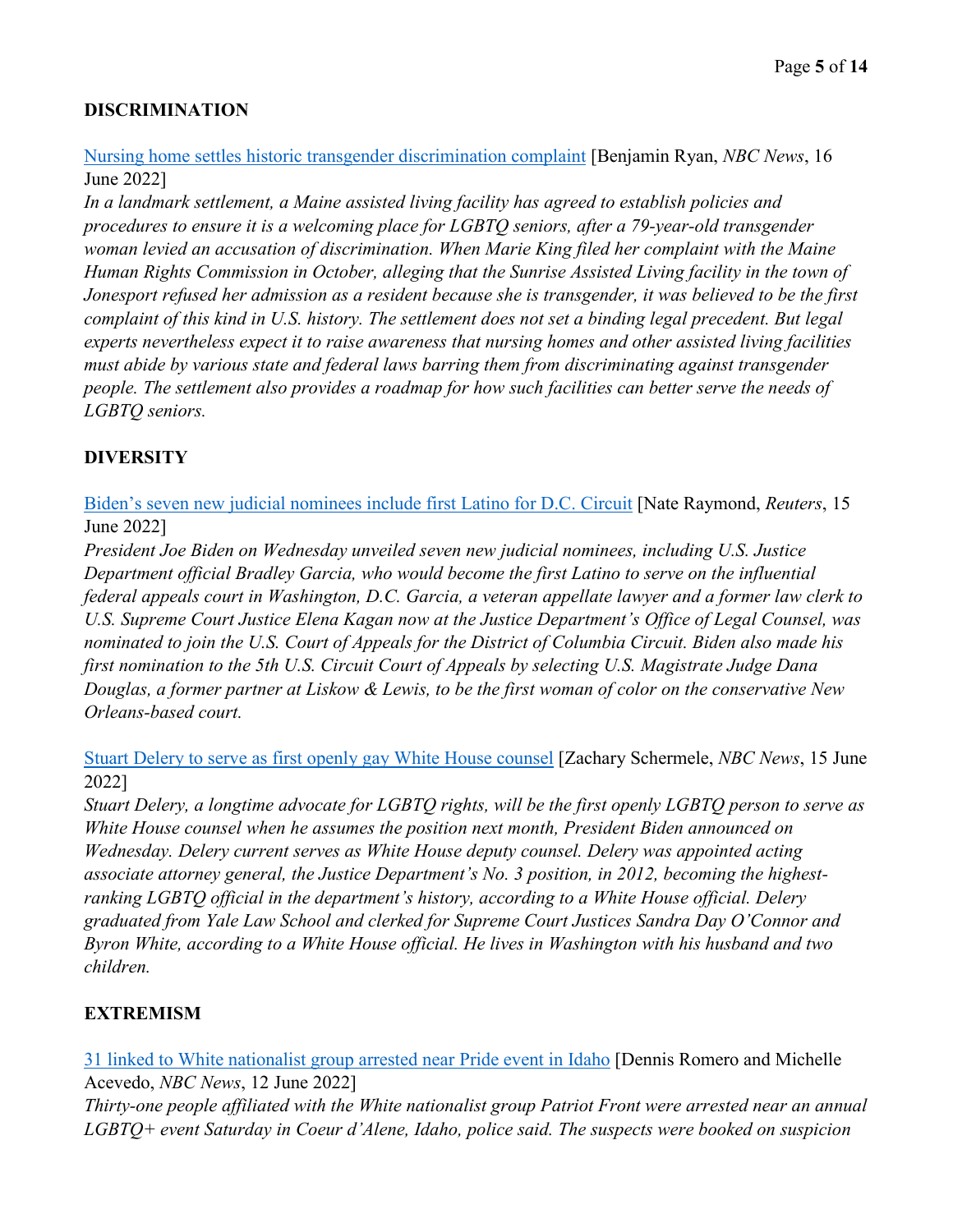# **DISCRIMINATION**

[Nursing home settles historic transgender discrimination complaint](https://www.nbcnews.com/nbc-out/out-news/nursing-home-settles-historic-transgender-discrimination-complaint-rcna33676) [Benjamin Ryan, *NBC News*, 16 June 2022]

*In a landmark settlement, a Maine assisted living facility has agreed to establish policies and procedures to ensure it is a welcoming place for LGBTQ seniors, after a 79-year-old transgender woman levied an accusation of discrimination. When Marie King filed her complaint with the Maine Human Rights Commission in October, alleging that the Sunrise Assisted Living facility in the town of Jonesport refused her admission as a resident because she is transgender, it was believed to be the first complaint of this kind in U.S. history. The settlement does not set a binding legal precedent. But legal experts nevertheless expect it to raise awareness that nursing homes and other assisted living facilities must abide by various state and federal laws barring them from discriminating against transgender people. The settlement also provides a roadmap for how such facilities can better serve the needs of LGBTQ seniors.*

# **DIVERSITY**

[Biden's seven new judicial nominees include first Latino for D.C. Circuit](https://www.reuters.com/legal/government/bidens-seven-new-judicial-nominees-include-first-latino-dc-circuit-2022-06-15/) [Nate Raymond, *Reuters*, 15 June 2022]

*President Joe Biden on Wednesday unveiled seven new judicial nominees, including U.S. Justice Department official Bradley Garcia, who would become the first Latino to serve on the influential federal appeals court in Washington, D.C. Garcia, a veteran appellate lawyer and a former law clerk to U.S. Supreme Court Justice Elena Kagan now at the Justice Department's Office of Legal Counsel, was nominated to join the U.S. Court of Appeals for the District of Columbia Circuit. Biden also made his first nomination to the 5th U.S. Circuit Court of Appeals by selecting U.S. Magistrate Judge Dana Douglas, a former partner at Liskow & Lewis, to be the first woman of color on the conservative New Orleans-based court.* 

[Stuart Delery to serve as first openly gay White House counsel](https://www.nbcnews.com/nbc-out/nbc-out-proud/stuart-delery-serve-first-openly-gay-white-house-counsel-rcna33743) [Zachary Schermele, *NBC News*, 15 June 2022]

*Stuart Delery, a longtime advocate for LGBTQ rights, will be the first openly LGBTQ person to serve as White House counsel when he assumes the position next month, President Biden announced on Wednesday. Delery current serves as White House deputy counsel. Delery was appointed acting associate attorney general, the Justice Department's No. 3 position, in 2012, becoming the highestranking LGBTQ official in the department's history, according to a White House official. Delery graduated from Yale Law School and clerked for Supreme Court Justices Sandra Day O'Connor and Byron White, according to a White House official. He lives in Washington with his husband and two children.* 

# **EXTREMISM**

[31 linked to White nationalist group arrested near Pride event in Idaho](https://www.nbcnews.com/news/us-news/31-linked-white-nationalist-group-arrested-pride-event-idaho-rcna33136) [Dennis Romero and Michelle Acevedo, *NBC News*, 12 June 2022]

*Thirty-one people affiliated with the White nationalist group Patriot Front were arrested near an annual LGBTQ+ event Saturday in Coeur d'Alene, Idaho, police said. The suspects were booked on suspicion*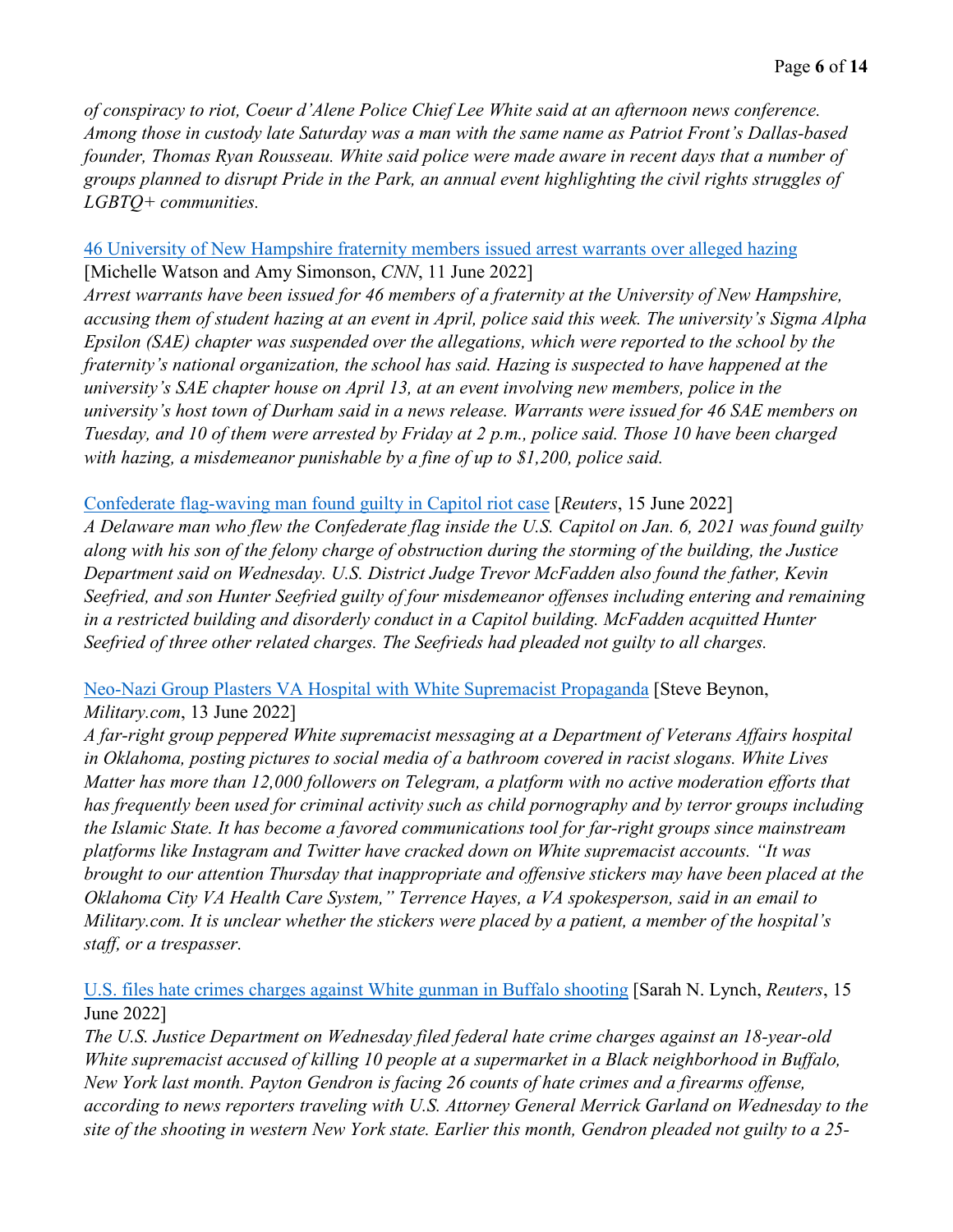*of conspiracy to riot, Coeur d'Alene Police Chief Lee White said at an afternoon news conference. Among those in custody late Saturday was a man with the same name as Patriot Front's Dallas-based founder, Thomas Ryan Rousseau. White said police were made aware in recent days that a number of groups planned to disrupt Pride in the Park, an annual event highlighting the civil rights struggles of LGBTQ+ communities.*

#### [46 University of New Hampshire fraternity members issued arrest warrants over alleged hazing](https://www.cnn.com/2022/06/11/us/unh-fraternity-hazing-charges/index.html) [Michelle Watson and Amy Simonson, *CNN*, 11 June 2022]

*Arrest warrants have been issued for 46 members of a fraternity at the University of New Hampshire, accusing them of student hazing at an event in April, police said this week. The university's Sigma Alpha Epsilon (SAE) chapter was suspended over the allegations, which were reported to the school by the fraternity's national organization, the school has said. Hazing is suspected to have happened at the university's SAE chapter house on April 13, at an event involving new members, police in the university's host town of Durham said in a news release. Warrants were issued for 46 SAE members on Tuesday, and 10 of them were arrested by Friday at 2 p.m., police said. Those 10 have been charged with hazing, a misdemeanor punishable by a fine of up to \$1,200, police said.* 

#### [Confederate flag-waving man found guilty in Capitol riot case](https://www.reuters.com/world/us/confederate-flag-waving-man-found-guilty-capitol-riot-case-2022-06-15/) [*Reuters*, 15 June 2022]

*A Delaware man who flew the Confederate flag inside the U.S. Capitol on Jan. 6, 2021 was found guilty along with his son of the felony charge of obstruction during the storming of the building, the Justice Department said on Wednesday. U.S. District Judge Trevor McFadden also found the father, Kevin Seefried, and son Hunter Seefried guilty of four misdemeanor offenses including entering and remaining in a restricted building and disorderly conduct in a Capitol building. McFadden acquitted Hunter Seefried of three other related charges. The Seefrieds had pleaded not guilty to all charges.* 

# [Neo-Nazi Group Plasters VA Hospital with White Supremacist Propaganda](https://www.military.com/daily-news/2022/06/13/neo-nazi-group-plasters-va-hospital-white-supremacist-propaganda.html) [Steve Beynon, *Military.com*, 13 June 2022]

*A far-right group peppered White supremacist messaging at a Department of Veterans Affairs hospital in Oklahoma, posting pictures to social media of a bathroom covered in racist slogans. White Lives Matter has more than 12,000 followers on Telegram, a platform with no active moderation efforts that has frequently been used for criminal activity such as child pornography and by terror groups including the Islamic State. It has become a favored communications tool for far-right groups since mainstream platforms like Instagram and Twitter have cracked down on White supremacist accounts. "It was brought to our attention Thursday that inappropriate and offensive stickers may have been placed at the Oklahoma City VA Health Care System," Terrence Hayes, a VA spokesperson, said in an email to Military.com. It is unclear whether the stickers were placed by a patient, a member of the hospital's staff, or a trespasser.*

### [U.S. files hate crimes charges against White gunman in Buffalo shooting](https://www.reuters.com/world/us/us-files-hate-crimes-charges-against-white-gunman-buffalo-shooting-2022-06-15/) [Sarah N. Lynch, *Reuters*, 15 June 2022]

*The U.S. Justice Department on Wednesday filed federal hate crime charges against an 18-year-old White supremacist accused of killing 10 people at a supermarket in a Black neighborhood in Buffalo, New York last month. Payton Gendron is facing 26 counts of hate crimes and a firearms offense, according to news reporters traveling with U.S. Attorney General Merrick Garland on Wednesday to the site of the shooting in western New York state. Earlier this month, Gendron pleaded not guilty to a 25-*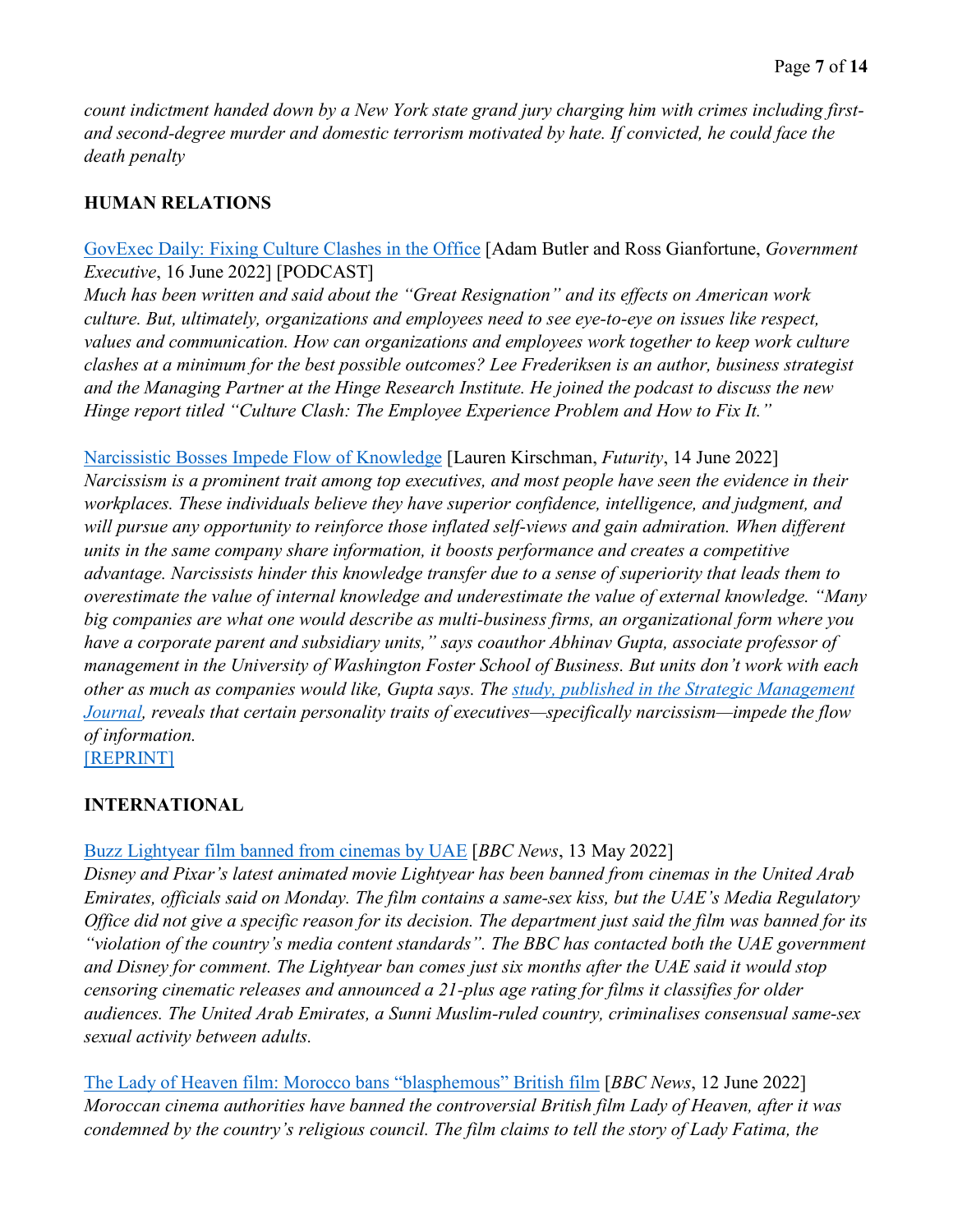*count indictment handed down by a New York state grand jury charging him with crimes including firstand second-degree murder and domestic terrorism motivated by hate. If convicted, he could face the death penalty* 

# **HUMAN RELATIONS**

### [GovExec Daily: Fixing Culture Clashes in the Office](https://www.govexec.com/management/2022/06/govexec-daily-fixing-culture-clashes-office/368233/) [Adam Butler and Ross Gianfortune, *Government Executive*, 16 June 2022] [PODCAST]

*Much has been written and said about the "Great Resignation" and its effects on American work culture. But, ultimately, organizations and employees need to see eye-to-eye on issues like respect, values and communication. How can organizations and employees work together to keep work culture clashes at a minimum for the best possible outcomes? Lee Frederiksen is an author, business strategist and the Managing Partner at the Hinge Research Institute. He joined the podcast to discuss the new Hinge report titled "Culture Clash: The Employee Experience Problem and How to Fix It."* 

# [Narcissistic Bosses Impede Flow of Knowledge](https://www.futurity.org/narcissistic-bosses-knowledge-2753212-2/) [Lauren Kirschman, *Futurity*, 14 June 2022]

*Narcissism is a prominent trait among top executives, and most people have seen the evidence in their*  workplaces. These individuals believe they have superior confidence, intelligence, and judgment, and will pursue any opportunity to reinforce those inflated self-views and gain admiration. When different *units in the same company share information, it boosts performance and creates a competitive advantage. Narcissists hinder this knowledge transfer due to a sense of superiority that leads them to overestimate the value of internal knowledge and underestimate the value of external knowledge. "Many big companies are what one would describe as multi-business firms, an organizational form where you have a corporate parent and subsidiary units," says coauthor Abhinav Gupta, associate professor of management in the University of Washington Foster School of Business. But units don't work with each other as much as companies would like, Gupta says. The [study, published in the Strategic Management](https://onlinelibrary.wiley.com/doi/10.1002/smj.3406)  [Journal,](https://onlinelibrary.wiley.com/doi/10.1002/smj.3406) reveals that certain personality traits of executives—specifically narcissism—impede the flow of information.*  [\[REPRINT\]](https://www.govexec.com/workforce/2022/06/narcissistic-bosses-impede-flow-knowledge/368156/)

#### **INTERNATIONAL**

# [Buzz Lightyear film banned from cinemas by UAE](https://www.bbc.com/news/entertainment-arts-61786355) [*BBC News*, 13 May 2022]

*Disney and Pixar's latest animated movie Lightyear has been banned from cinemas in the United Arab Emirates, officials said on Monday. The film contains a same-sex kiss, but the UAE's Media Regulatory Office did not give a specific reason for its decision. The department just said the film was banned for its "violation of the country's media content standards". The BBC has contacted both the UAE government and Disney for comment. The Lightyear ban comes just six months after the UAE said it would stop censoring cinematic releases and announced a 21-plus age rating for films it classifies for older audiences. The United Arab Emirates, a Sunni Muslim-ruled country, criminalises consensual same-sex sexual activity between adults.*

[The Lady of Heaven film: Morocco bans "blasphemous" British film](https://www.bbc.com/news/world-africa-61774830) [*BBC News*, 12 June 2022] *Moroccan cinema authorities have banned the controversial British film Lady of Heaven, after it was condemned by the country's religious council. The film claims to tell the story of Lady Fatima, the*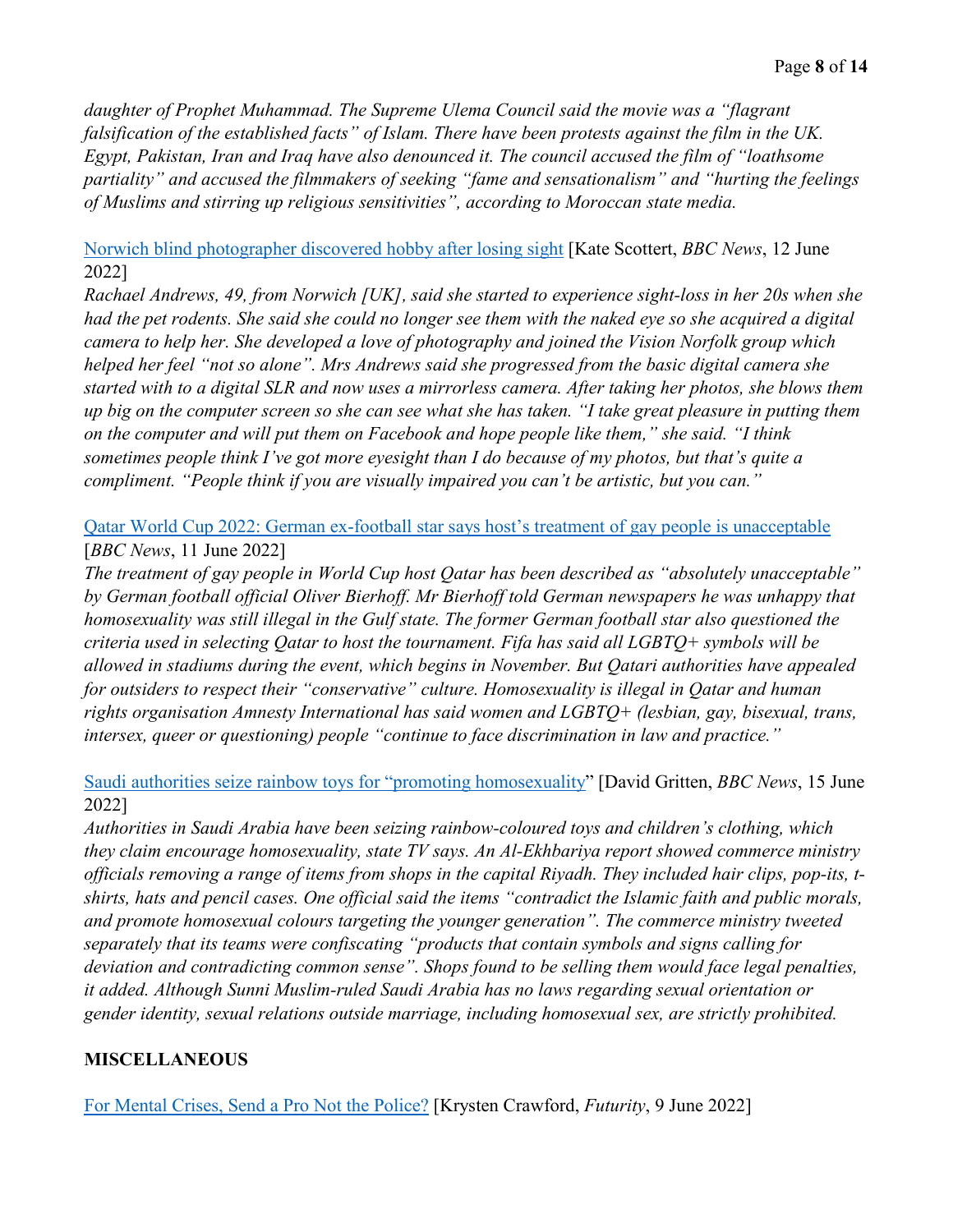*daughter of Prophet Muhammad. The Supreme Ulema Council said the movie was a "flagrant falsification of the established facts" of Islam. There have been protests against the film in the UK. Egypt, Pakistan, Iran and Iraq have also denounced it. The council accused the film of "loathsome partiality" and accused the filmmakers of seeking "fame and sensationalism" and "hurting the feelings of Muslims and stirring up religious sensitivities", according to Moroccan state media.* 

#### [Norwich blind photographer discovered hobby after losing sight](https://www.bbc.com/news/uk-england-norfolk-61530561) [Kate Scottert, *BBC News*, 12 June 2022]

*Rachael Andrews, 49, from Norwich [UK], said she started to experience sight-loss in her 20s when she had the pet rodents. She said she could no longer see them with the naked eye so she acquired a digital camera to help her. She developed a love of photography and joined the Vision Norfolk group which helped her feel "not so alone". Mrs Andrews said she progressed from the basic digital camera she started with to a digital SLR and now uses a mirrorless camera. After taking her photos, she blows them up big on the computer screen so she can see what she has taken. "I take great pleasure in putting them on the computer and will put them on Facebook and hope people like them," she said. "I think sometimes people think I've got more eyesight than I do because of my photos, but that's quite a compliment. "People think if you are visually impaired you can't be artistic, but you can."* 

[Qatar World Cup 2022: German ex-football star says host's treatment of gay people is unacceptable](https://www.bbc.com/news/world-middle-east-61770020) [*BBC News*, 11 June 2022]

*The treatment of gay people in World Cup host Qatar has been described as "absolutely unacceptable" by German football official Oliver Bierhoff. Mr Bierhoff told German newspapers he was unhappy that homosexuality was still illegal in the Gulf state. The former German football star also questioned the criteria used in selecting Qatar to host the tournament. Fifa has said all LGBTQ+ symbols will be allowed in stadiums during the event, which begins in November. But Qatari authorities have appealed for outsiders to respect their "conservative" culture. Homosexuality is illegal in Qatar and human rights organisation Amnesty International has said women and LGBTQ+ (lesbian, gay, bisexual, trans, intersex, queer or questioning) people "continue to face discrimination in law and practice."* 

[Saudi authorities seize rainbow toys for "promoting homosexuality"](https://www.bbc.com/news/world-middle-east-61813390) [David Gritten, *BBC News*, 15 June 2022]

*Authorities in Saudi Arabia have been seizing rainbow-coloured toys and children's clothing, which they claim encourage homosexuality, state TV says. An Al-Ekhbariya report showed commerce ministry officials removing a range of items from shops in the capital Riyadh. They included hair clips, pop-its, tshirts, hats and pencil cases. One official said the items "contradict the Islamic faith and public morals, and promote homosexual colours targeting the younger generation". The commerce ministry tweeted separately that its teams were confiscating "products that contain symbols and signs calling for deviation and contradicting common sense". Shops found to be selling them would face legal penalties, it added. Although Sunni Muslim-ruled Saudi Arabia has no laws regarding sexual orientation or gender identity, sexual relations outside marriage, including homosexual sex, are strictly prohibited.* 

# **MISCELLANEOUS**

[For Mental Crises, Send a Pro Not the Police?](https://www.futurity.org/mental-health-police-911-2750812-2/) [Krysten Crawford, *Futurity*, 9 June 2022]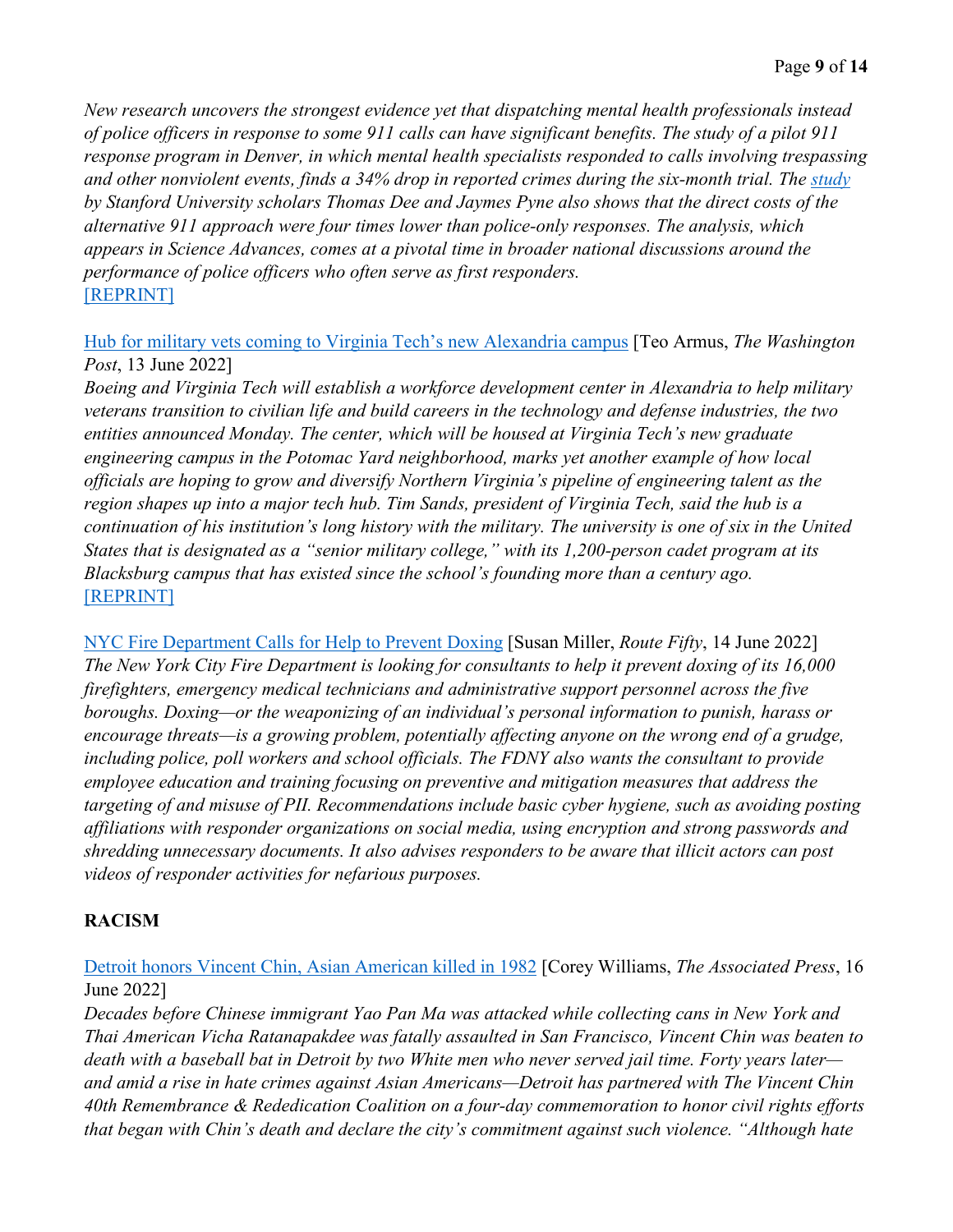*New research uncovers the strongest evidence yet that dispatching mental health professionals instead of police officers in response to some 911 calls can have significant benefits. The study of a pilot 911 response program in Denver, in which mental health specialists responded to calls involving trespassing and other nonviolent events, finds a 34% drop in reported crimes during the six-month trial. The [study](https://www.science.org/doi/10.1126/sciadv.abm2106) by Stanford University scholars Thomas Dee and Jaymes Pyne also shows that the direct costs of the alternative 911 approach were four times lower than police-only responses. The analysis, which appears in Science Advances, comes at a pivotal time in broader national discussions around the performance of police officers who often serve as first responders.*  [\[REPRINT\]](https://www.route-fifty.com/health-human-services/2022/06/mental-crises-send-pro-not-police/368068/)

[Hub for military vets coming to Virginia Tech's new Alexandria campus](https://www.washingtonpost.com/dc-md-va/2022/06/13/veterans-virginia-tech-boeing-hub/) [Teo Armus, *The Washington Post*, 13 June 2022]

*Boeing and Virginia Tech will establish a workforce development center in Alexandria to help military veterans transition to civilian life and build careers in the technology and defense industries, the two entities announced Monday. The center, which will be housed at Virginia Tech's new graduate engineering campus in the Potomac Yard neighborhood, marks yet another example of how local officials are hoping to grow and diversify Northern Virginia's pipeline of engineering talent as the region shapes up into a major tech hub. Tim Sands, president of Virginia Tech, said the hub is a continuation of his institution's long history with the military. The university is one of six in the United States that is designated as a "senior military college," with its 1,200-person cadet program at its Blacksburg campus that has existed since the school's founding more than a century ago.*  [\[REPRINT\]](https://www.stripes.com/theaters/us/2022-06-13/military-veterans-virginia-tech-campus-6332928.html)

[NYC Fire Department Calls for Help to Prevent Doxing](https://www.route-fifty.com/public-safety/2022/06/nyfd-calls-help-doxing/368174/) [Susan Miller, *Route Fifty*, 14 June 2022] *The New York City Fire Department is looking for consultants to help it prevent doxing of its 16,000 firefighters, emergency medical technicians and administrative support personnel across the five boroughs. Doxing—or the weaponizing of an individual's personal information to punish, harass or encourage threats—is a growing problem, potentially affecting anyone on the wrong end of a grudge, including police, poll workers and school officials. The FDNY also wants the consultant to provide employee education and training focusing on preventive and mitigation measures that address the targeting of and misuse of PII. Recommendations include basic cyber hygiene, such as avoiding posting affiliations with responder organizations on social media, using encryption and strong passwords and shredding unnecessary documents. It also advises responders to be aware that illicit actors can post videos of responder activities for nefarious purposes.* 

# **RACISM**

[Detroit honors Vincent Chin, Asian American killed in 1982](https://apnews.com/article/covid-health-new-york-detroit-san-francisco-1647f7fede6ebe4aca7509ee13675227) [Corey Williams, *The Associated Press*, 16 June 2022]

*Decades before Chinese immigrant Yao Pan Ma was attacked while collecting cans in New York and Thai American Vicha Ratanapakdee was fatally assaulted in San Francisco, Vincent Chin was beaten to death with a baseball bat in Detroit by two White men who never served jail time. Forty years later and amid a rise in hate crimes against Asian Americans—Detroit has partnered with The Vincent Chin 40th Remembrance & Rededication Coalition on a four-day commemoration to honor civil rights efforts that began with Chin's death and declare the city's commitment against such violence. "Although hate*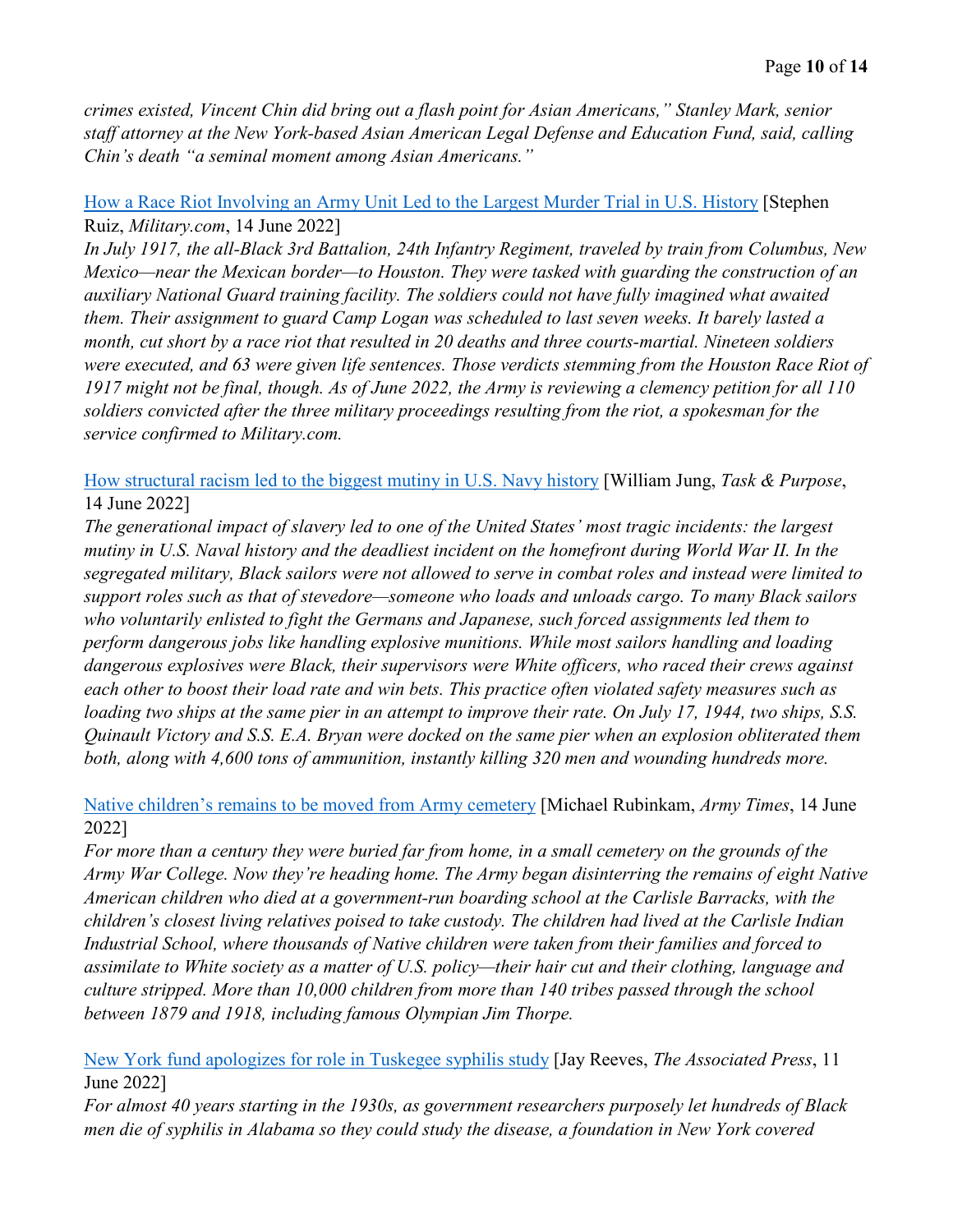*crimes existed, Vincent Chin did bring out a flash point for Asian Americans," Stanley Mark, senior staff attorney at the New York-based Asian American Legal Defense and Education Fund, said, calling Chin's death "a seminal moment among Asian Americans."* 

# [How a Race Riot Involving an Army Unit Led to the Largest Murder Trial in U.S. History](https://www.military.com/history/how-race-riot-involving-army-unit-led-largest-murder-trial-us-history.html) [Stephen Ruiz, *Military.com*, 14 June 2022]

*In July 1917, the all-Black 3rd Battalion, 24th Infantry Regiment, traveled by train from Columbus, New Mexico—near the Mexican border—to Houston. They were tasked with guarding the construction of an auxiliary National Guard training facility. The soldiers could not have fully imagined what awaited them. Their assignment to guard Camp Logan was scheduled to last seven weeks. It barely lasted a month, cut short by a race riot that resulted in 20 deaths and three courts-martial. Nineteen soldiers were executed, and 63 were given life sentences. Those verdicts stemming from the Houston Race Riot of 1917 might not be final, though. As of June 2022, the Army is reviewing a clemency petition for all 110 soldiers convicted after the three military proceedings resulting from the riot, a spokesman for the service confirmed to Military.com.*

[How structural racism led to the biggest mutiny in U.S. Navy history](https://taskandpurpose.com/history/racism-biggest-mutiny-naval-history/) [William Jung, *Task & Purpose*, 14 June 2022]

*The generational impact of slavery led to one of the United States' most tragic incidents: the largest mutiny in U.S. Naval history and the deadliest incident on the homefront during World War II. In the segregated military, Black sailors were not allowed to serve in combat roles and instead were limited to support roles such as that of stevedore—someone who loads and unloads cargo. To many Black sailors who voluntarily enlisted to fight the Germans and Japanese, such forced assignments led them to perform dangerous jobs like handling explosive munitions. While most sailors handling and loading dangerous explosives were Black, their supervisors were White officers, who raced their crews against each other to boost their load rate and win bets. This practice often violated safety measures such as loading two ships at the same pier in an attempt to improve their rate. On July 17, 1944, two ships, S.S. Quinault Victory and S.S. E.A. Bryan were docked on the same pier when an explosion obliterated them both, along with 4,600 tons of ammunition, instantly killing 320 men and wounding hundreds more.* 

### [Native children's remains to be moved from Army cemetery](https://www.armytimes.com/news/your-army/2022/06/14/native-childrens-remains-to-be-moved-from-army-cemetery/) [Michael Rubinkam, *Army Times*, 14 June 2022]

*For more than a century they were buried far from home, in a small cemetery on the grounds of the Army War College. Now they're heading home. The Army began disinterring the remains of eight Native American children who died at a government-run boarding school at the Carlisle Barracks, with the children's closest living relatives poised to take custody. The children had lived at the Carlisle Indian Industrial School, where thousands of Native children were taken from their families and forced to assimilate to White society as a matter of U.S. policy—their hair cut and their clothing, language and culture stripped. More than 10,000 children from more than 140 tribes passed through the school between 1879 and 1918, including famous Olympian Jim Thorpe.* 

[New York fund apologizes for role in Tuskegee syphilis study](https://apnews.com/article/politics-health-syphilis-race-and-ethnicity-business-0a393357b7014707cf2dd18454a3cce4) [Jay Reeves, *The Associated Press*, 11 June 2022]

*For almost 40 years starting in the 1930s, as government researchers purposely let hundreds of Black men die of syphilis in Alabama so they could study the disease, a foundation in New York covered*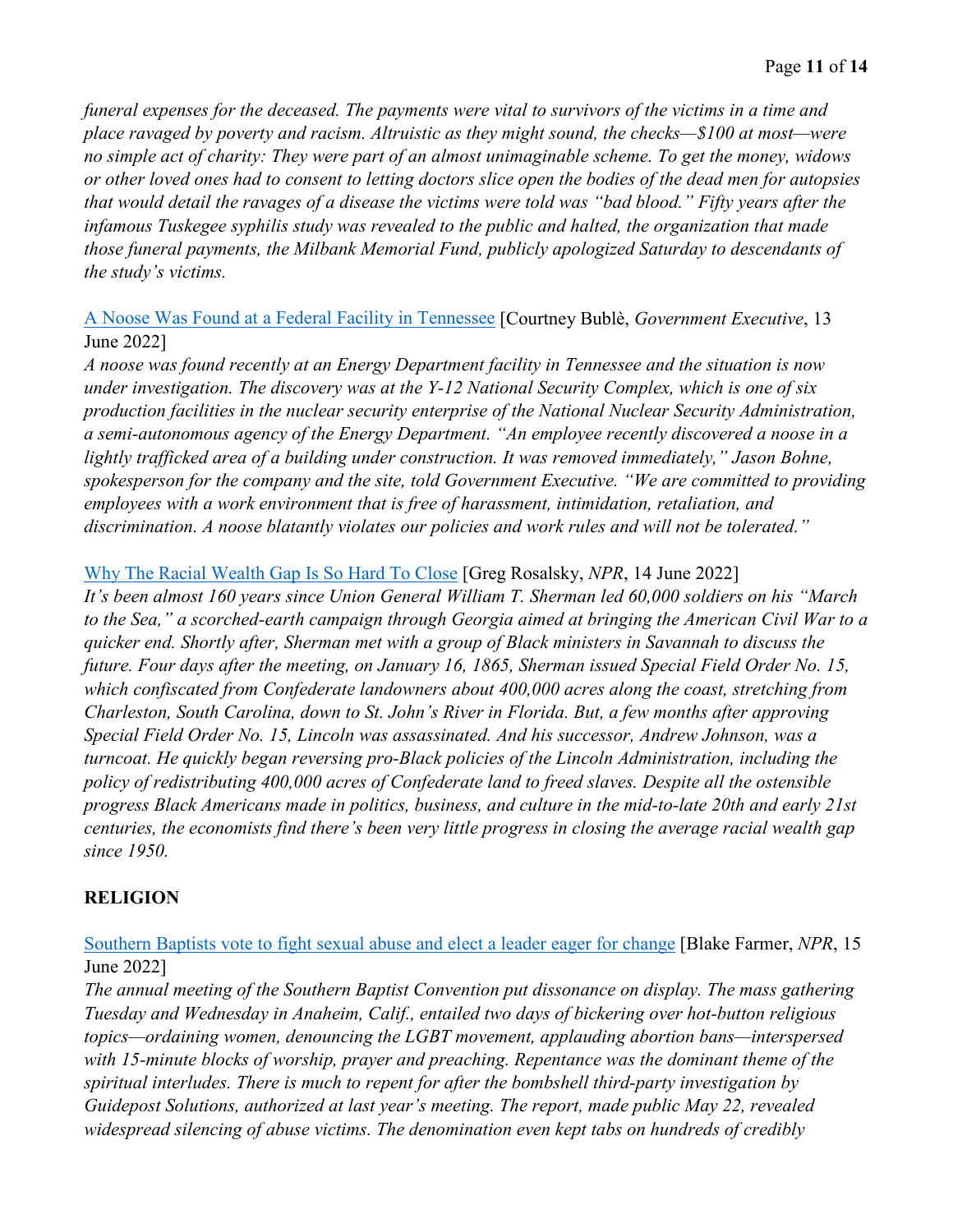*funeral expenses for the deceased. The payments were vital to survivors of the victims in a time and place ravaged by poverty and racism. Altruistic as they might sound, the checks—\$100 at most—were no simple act of charity: They were part of an almost unimaginable scheme. To get the money, widows or other loved ones had to consent to letting doctors slice open the bodies of the dead men for autopsies that would detail the ravages of a disease the victims were told was "bad blood." Fifty years after the infamous Tuskegee syphilis study was revealed to the public and halted, the organization that made those funeral payments, the Milbank Memorial Fund, publicly apologized Saturday to descendants of the study's victims.* 

A Noose [Was Found at a Federal Facility in Tennessee](https://www.govexec.com/management/2022/06/noose-was-found-federal-facility-tennessee/368098/) [Courtney Bublè, *Government Executive*, 13 June 2022]

*A noose was found recently at an Energy Department facility in Tennessee and the situation is now under investigation. The discovery was at the Y-12 National Security Complex, which is one of six production facilities in the nuclear security enterprise of the National Nuclear Security Administration, a semi-autonomous agency of the Energy Department. "An employee recently discovered a noose in a*  lightly trafficked area of a building under construction. It was removed immediately," Jason Bohne, *spokesperson for the company and the site, told Government Executive. "We are committed to providing employees with a work environment that is free of harassment, intimidation, retaliation, and discrimination. A noose blatantly violates our policies and work rules and will not be tolerated."* 

### [Why The Racial Wealth Gap Is So Hard To Close](https://www.npr.org/sections/money/2022/06/14/1104660659/why-the-racial-wealth-gap-is-so-hard-to-close) [Greg Rosalsky, *NPR*, 14 June 2022]

*It's been almost 160 years since Union General William T. Sherman led 60,000 soldiers on his "March to the Sea," a scorched-earth campaign through Georgia aimed at bringing the American Civil War to a quicker end. Shortly after, Sherman met with a group of Black ministers in Savannah to discuss the future. Four days after the meeting, on January 16, 1865, Sherman issued Special Field Order No. 15, which confiscated from Confederate landowners about 400,000 acres along the coast, stretching from Charleston, South Carolina, down to St. John's River in Florida. But, a few months after approving Special Field Order No. 15, Lincoln was assassinated. And his successor, Andrew Johnson, was a turncoat. He quickly began reversing pro-Black policies of the Lincoln Administration, including the policy of redistributing 400,000 acres of Confederate land to freed slaves. Despite all the ostensible progress Black Americans made in politics, business, and culture in the mid-to-late 20th and early 21st centuries, the economists find there's been very little progress in closing the average racial wealth gap since 1950.* 

# **RELIGION**

[Southern Baptists vote to fight sexual abuse and elect a leader eager for change](https://www.npr.org/2022/06/15/1105345149/southern-baptists-vote-to-fight-sexual-abuse-and-elect-a-leader-eager-for-change) [Blake Farmer, *NPR*, 15 June 2022]

*The annual meeting of the Southern Baptist Convention put dissonance on display. The mass gathering Tuesday and Wednesday in Anaheim, Calif., entailed two days of bickering over hot-button religious topics—ordaining women, denouncing the LGBT movement, applauding abortion bans—interspersed with 15-minute blocks of worship, prayer and preaching. Repentance was the dominant theme of the spiritual interludes. There is much to repent for after the bombshell third-party investigation by Guidepost Solutions, authorized at last year's meeting. The report, made public May 22, revealed widespread silencing of abuse victims. The denomination even kept tabs on hundreds of credibly*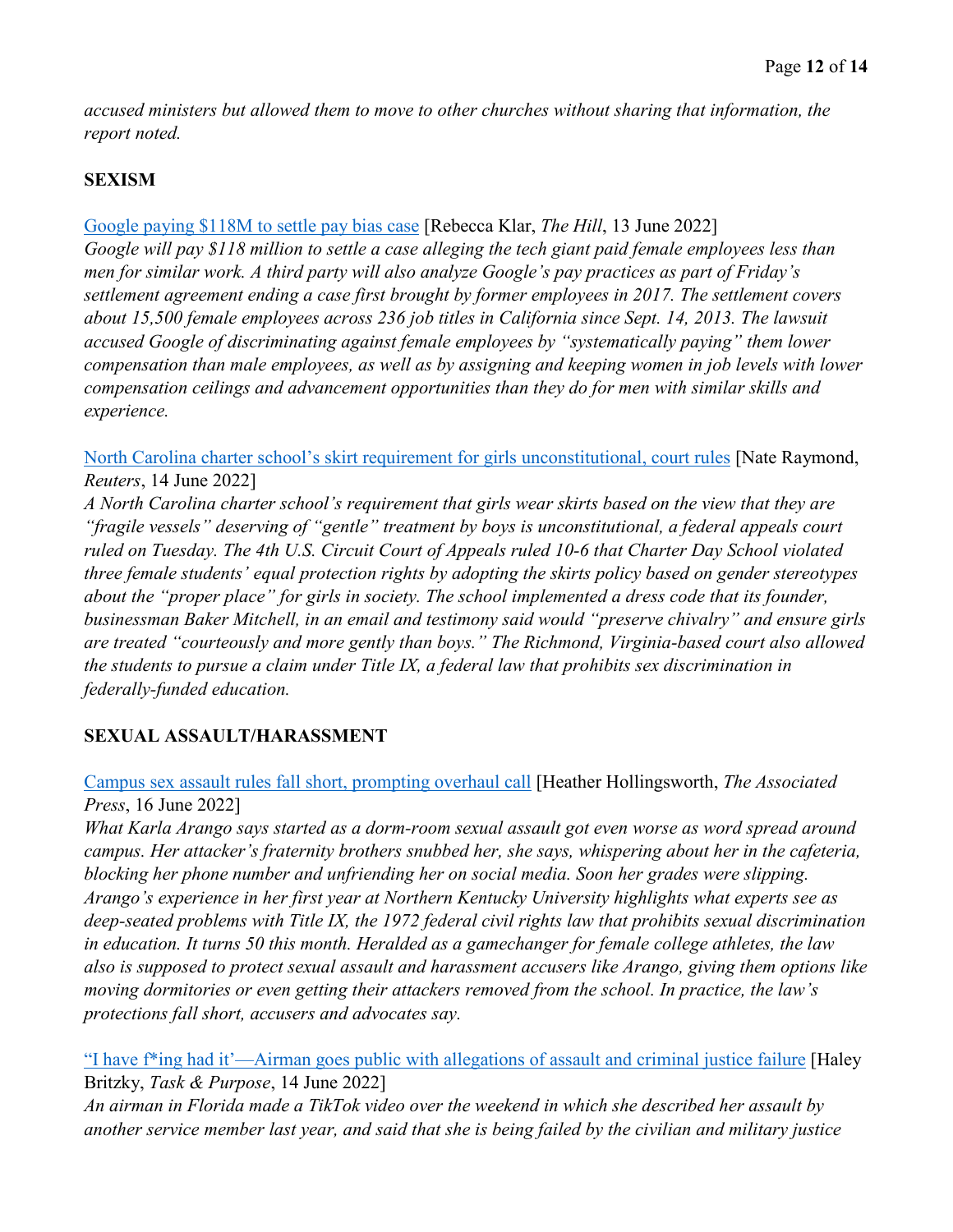*accused ministers but allowed them to move to other churches without sharing that information, the report noted.* 

# **SEXISM**

#### [Google paying \\$118M to settle pay bias case](https://thehill.com/policy/technology/3521096-google-paying-118m-to-settle-pay-bias-case/) [Rebecca Klar, *The Hill*, 13 June 2022]

*Google will pay \$118 million to settle a case alleging the tech giant paid female employees less than men for similar work. A third party will also analyze Google's pay practices as part of Friday's settlement agreement ending a case first brought by former employees in 2017. The settlement covers about 15,500 female employees across 236 job titles in California since Sept. 14, 2013. The lawsuit accused Google of discriminating against female employees by "systematically paying" them lower compensation than male employees, as well as by assigning and keeping women in job levels with lower compensation ceilings and advancement opportunities than they do for men with similar skills and experience.*

[North Carolina charter school's skirt requirement for girls unconstitutional, court rules](https://www.reuters.com/legal/government/north-carolina-schools-requirement-that-girls-wear-skirts-unconstitutional-court-2022-06-14/) [Nate Raymond, *Reuters*, 14 June 2022]

*A North Carolina charter school's requirement that girls wear skirts based on the view that they are "fragile vessels" deserving of "gentle" treatment by boys is unconstitutional, a federal appeals court ruled on Tuesday. The 4th U.S. Circuit Court of Appeals ruled 10-6 that Charter Day School violated three female students' equal protection rights by adopting the skirts policy based on gender stereotypes about the "proper place" for girls in society. The school implemented a dress code that its founder, businessman Baker Mitchell, in an email and testimony said would "preserve chivalry" and ensure girls are treated "courteously and more gently than boys." The Richmond, Virginia-based court also allowed the students to pursue a claim under Title IX, a federal law that prohibits sex discrimination in federally-funded education.* 

# **SEXUAL ASSAULT/HARASSMENT**

[Campus sex assault rules fall short, prompting overhaul call](https://apnews.com/article/politics-sports-donald-trump-education-5ae8d4c03863cf98072e810c5de37048) [Heather Hollingsworth, *The Associated Press*, 16 June 2022]

*What Karla Arango says started as a dorm-room sexual assault got even worse as word spread around campus. Her attacker's fraternity brothers snubbed her, she says, whispering about her in the cafeteria, blocking her phone number and unfriending her on social media. Soon her grades were slipping. Arango's experience in her first year at Northern Kentucky University highlights what experts see as deep-seated problems with Title IX, the 1972 federal civil rights law that prohibits sexual discrimination in education. It turns 50 this month. Heralded as a gamechanger for female college athletes, the law also is supposed to protect sexual assault and harassment accusers like Arango, giving them options like moving dormitories or even getting their attackers removed from the school. In practice, the law's protections fall short, accusers and advocates say.* 

["I have f\\*ing had it'—Airman goes public with allegations of assault and criminal justice failure](https://taskandpurpose.com/news/air-force-national-guard-sexual-assault-tiktok/) [Haley Britzky, *Task & Purpose*, 14 June 2022]

*An airman in Florida made a TikTok video over the weekend in which she described her assault by another service member last year, and said that she is being failed by the civilian and military justice*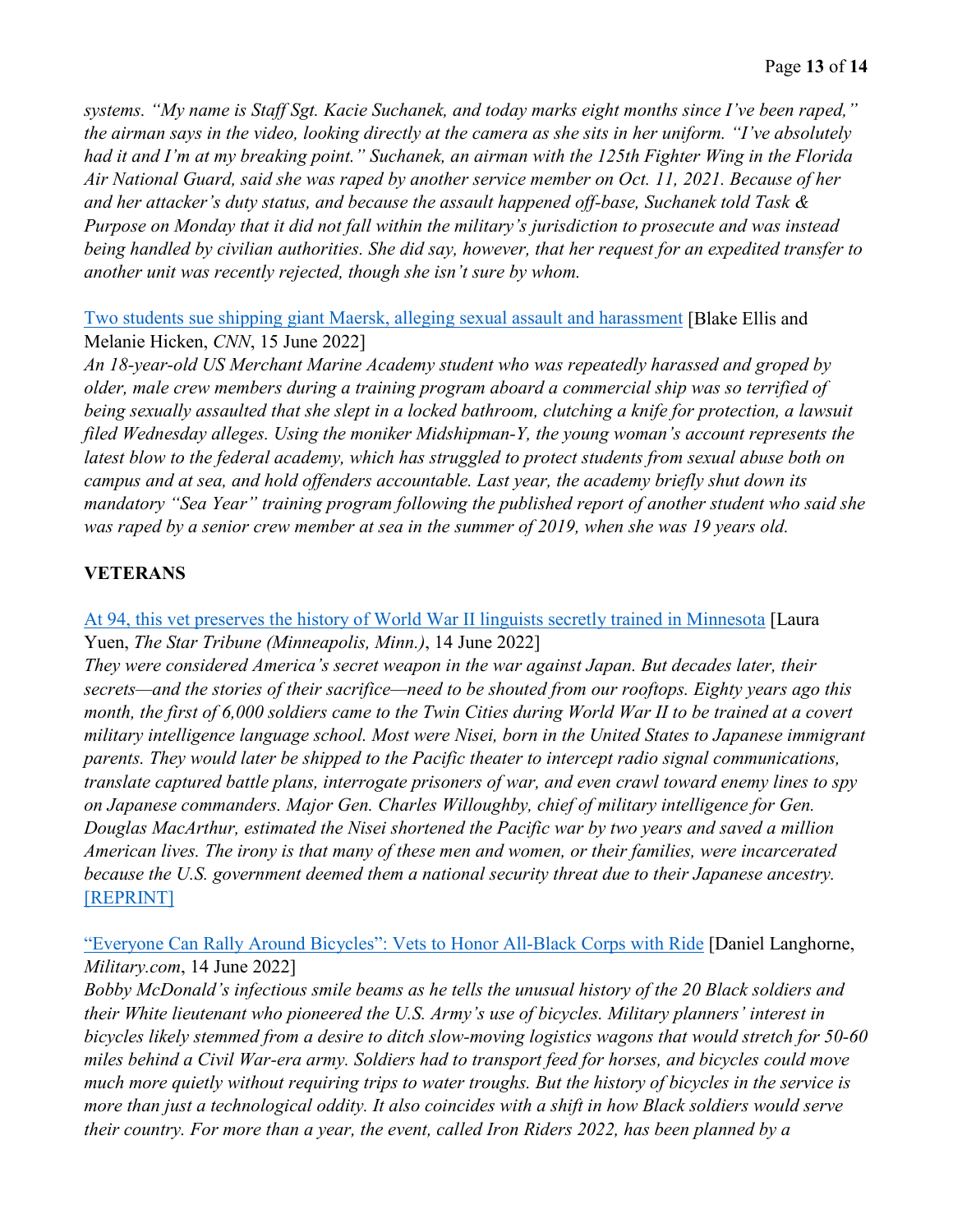*systems. "My name is Staff Sgt. Kacie Suchanek, and today marks eight months since I've been raped," the airman says in the video, looking directly at the camera as she sits in her uniform. "I've absolutely had it and I'm at my breaking point." Suchanek, an airman with the 125th Fighter Wing in the Florida Air National Guard, said she was raped by another service member on Oct. 11, 2021. Because of her and her attacker's duty status, and because the assault happened off-base, Suchanek told Task & Purpose on Monday that it did not fall within the military's jurisdiction to prosecute and was instead being handled by civilian authorities. She did say, however, that her request for an expedited transfer to another unit was recently rejected, though she isn't sure by whom.* 

[Two students sue shipping giant Maersk, alleging sexual assault and harassment](https://www.cnn.com/2022/06/15/business/maersk-rape-lawsuits-students-invs/index.html) [Blake Ellis and Melanie Hicken, *CNN*, 15 June 2022]

*An 18-year-old US Merchant Marine Academy student who was repeatedly harassed and groped by older, male crew members during a training program aboard a commercial ship was so terrified of being sexually assaulted that she slept in a locked bathroom, clutching a knife for protection, a lawsuit filed Wednesday alleges. Using the moniker Midshipman-Y, the young woman's account represents the*  latest blow to the federal academy, which has struggled to protect students from sexual abuse both on *campus and at sea, and hold offenders accountable. Last year, the academy briefly shut down its mandatory "Sea Year" training program following the published report of another student who said she was raped by a senior crew member at sea in the summer of 2019, when she was 19 years old.* 

# **VETERANS**

# [At 94, this vet preserves the history of World War II linguists secretly trained in Minnesota](https://www.startribune.com/at-94-this-vet-preserves-the-history-of-world-war-ii-linguists-secretly-trained-in-minnesota/600181950/) [Laura Yuen, *The Star Tribune (Minneapolis, Minn.)*, 14 June 2022]

*They were considered America's secret weapon in the war against Japan. But decades later, their secrets—and the stories of their sacrifice—need to be shouted from our rooftops. Eighty years ago this month, the first of 6,000 soldiers came to the Twin Cities during World War II to be trained at a covert military intelligence language school. Most were Nisei, born in the United States to Japanese immigrant parents. They would later be shipped to the Pacific theater to intercept radio signal communications, translate captured battle plans, interrogate prisoners of war, and even crawl toward enemy lines to spy on Japanese commanders. Major Gen. Charles Willoughby, chief of military intelligence for Gen. Douglas MacArthur, estimated the Nisei shortened the Pacific war by two years and saved a million American lives. The irony is that many of these men and women, or their families, were incarcerated because the U.S. government deemed them a national security threat due to their Japanese ancestry.*  [\[REPRINT\]](https://www.stripes.com/history/2022-06-14/veteran-history-wwii-linguists-minnesota-6338882.html)

["Everyone Can Rally Around Bicycles": Vets to Honor All-Black Corps with Ride](https://www.military.com/daily-news/2022/06/14/everyone-can-rally-around-bicycles-vets-honor-all-black-corps-ride.html) [Daniel Langhorne, *Military.com*, 14 June 2022]

*Bobby McDonald's infectious smile beams as he tells the unusual history of the 20 Black soldiers and their White lieutenant who pioneered the U.S. Army's use of bicycles. Military planners' interest in bicycles likely stemmed from a desire to ditch slow-moving logistics wagons that would stretch for 50-60 miles behind a Civil War-era army. Soldiers had to transport feed for horses, and bicycles could move much more quietly without requiring trips to water troughs. But the history of bicycles in the service is more than just a technological oddity. It also coincides with a shift in how Black soldiers would serve their country. For more than a year, the event, called Iron Riders 2022, has been planned by a*